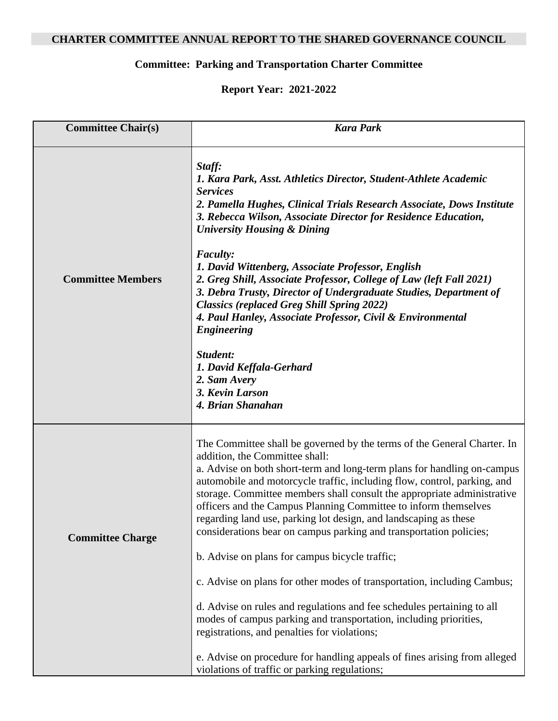## **CHARTER COMMITTEE ANNUAL REPORT TO THE SHARED GOVERNANCE COUNCIL**

## **Committee: Parking and Transportation Charter Committee**

## **Report Year: 2021-2022**

| <b>Committee Chair(s)</b> | <b>Kara Park</b>                                                                                                                                                                                                                                                                                                                                                                                                                                                                                                                                                                                                                                |
|---------------------------|-------------------------------------------------------------------------------------------------------------------------------------------------------------------------------------------------------------------------------------------------------------------------------------------------------------------------------------------------------------------------------------------------------------------------------------------------------------------------------------------------------------------------------------------------------------------------------------------------------------------------------------------------|
| <b>Committee Members</b>  | Staff:<br>1. Kara Park, Asst. Athletics Director, Student-Athlete Academic<br><i>Services</i><br>2. Pamella Hughes, Clinical Trials Research Associate, Dows Institute<br>3. Rebecca Wilson, Associate Director for Residence Education,<br><b>University Housing &amp; Dining</b><br><b>Faculty:</b><br>1. David Wittenberg, Associate Professor, English<br>2. Greg Shill, Associate Professor, College of Law (left Fall 2021)<br>3. Debra Trusty, Director of Undergraduate Studies, Department of<br><b>Classics (replaced Greg Shill Spring 2022)</b><br>4. Paul Hanley, Associate Professor, Civil & Environmental<br><b>Engineering</b> |
|                           | Student:<br>1. David Keffala-Gerhard<br>2. Sam Avery<br>3. Kevin Larson<br>4. Brian Shanahan                                                                                                                                                                                                                                                                                                                                                                                                                                                                                                                                                    |
| <b>Committee Charge</b>   | The Committee shall be governed by the terms of the General Charter. In<br>addition, the Committee shall:<br>a. Advise on both short-term and long-term plans for handling on-campus<br>automobile and motorcycle traffic, including flow, control, parking, and<br>storage. Committee members shall consult the appropriate administrative<br>officers and the Campus Planning Committee to inform themselves<br>regarding land use, parking lot design, and landscaping as these<br>considerations bear on campus parking and transportation policies;                                                                                        |
|                           | b. Advise on plans for campus bicycle traffic;<br>c. Advise on plans for other modes of transportation, including Cambus;                                                                                                                                                                                                                                                                                                                                                                                                                                                                                                                       |
|                           | d. Advise on rules and regulations and fee schedules pertaining to all<br>modes of campus parking and transportation, including priorities,<br>registrations, and penalties for violations;                                                                                                                                                                                                                                                                                                                                                                                                                                                     |
|                           | e. Advise on procedure for handling appeals of fines arising from alleged<br>violations of traffic or parking regulations;                                                                                                                                                                                                                                                                                                                                                                                                                                                                                                                      |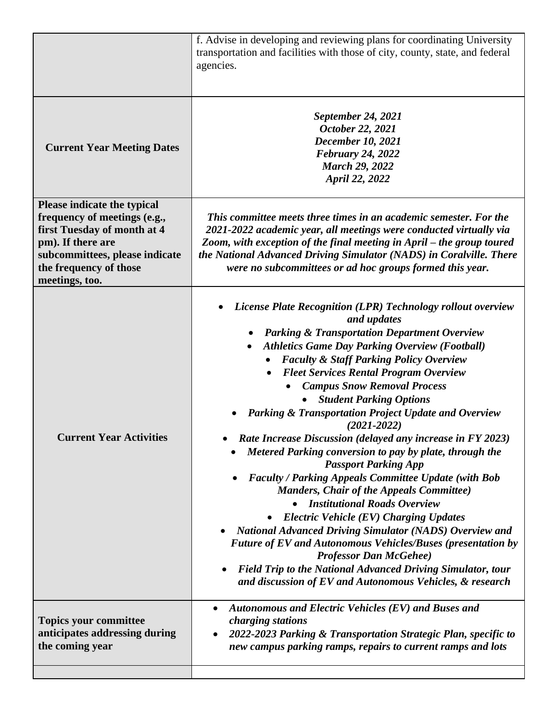|                                                                                                                                                                                               | f. Advise in developing and reviewing plans for coordinating University<br>transportation and facilities with those of city, county, state, and federal<br>agencies.                                                                                                                                                                                                                                                                                                                                                                                                                                                                                                                                                                                                                                                                                                                                                                                                                                                                                                                                                                                           |
|-----------------------------------------------------------------------------------------------------------------------------------------------------------------------------------------------|----------------------------------------------------------------------------------------------------------------------------------------------------------------------------------------------------------------------------------------------------------------------------------------------------------------------------------------------------------------------------------------------------------------------------------------------------------------------------------------------------------------------------------------------------------------------------------------------------------------------------------------------------------------------------------------------------------------------------------------------------------------------------------------------------------------------------------------------------------------------------------------------------------------------------------------------------------------------------------------------------------------------------------------------------------------------------------------------------------------------------------------------------------------|
| <b>Current Year Meeting Dates</b>                                                                                                                                                             | <b>September 24, 2021</b><br>October 22, 2021<br><b>December 10, 2021</b><br><b>February 24, 2022</b><br><b>March 29, 2022</b><br>April 22, 2022                                                                                                                                                                                                                                                                                                                                                                                                                                                                                                                                                                                                                                                                                                                                                                                                                                                                                                                                                                                                               |
| Please indicate the typical<br>frequency of meetings (e.g.,<br>first Tuesday of month at 4<br>pm). If there are<br>subcommittees, please indicate<br>the frequency of those<br>meetings, too. | This committee meets three times in an academic semester. For the<br>2021-2022 academic year, all meetings were conducted virtually via<br>Zoom, with exception of the final meeting in April – the group toured<br>the National Advanced Driving Simulator (NADS) in Coralville. There<br>were no subcommittees or ad hoc groups formed this year.                                                                                                                                                                                                                                                                                                                                                                                                                                                                                                                                                                                                                                                                                                                                                                                                            |
| <b>Current Year Activities</b>                                                                                                                                                                | <b>License Plate Recognition (LPR) Technology rollout overview</b><br>$\bullet$<br>and updates<br><b>Parking &amp; Transportation Department Overview</b><br><b>Athletics Game Day Parking Overview (Football)</b><br><b>Faculty &amp; Staff Parking Policy Overview</b><br><b>Fleet Services Rental Program Overview</b><br><b>Campus Snow Removal Process</b><br><b>Student Parking Options</b><br><b>Parking &amp; Transportation Project Update and Overview</b><br>$(2021 - 2022)$<br>Rate Increase Discussion (delayed any increase in FY 2023)<br>Metered Parking conversion to pay by plate, through the<br><b>Passport Parking App</b><br><b>Faculty / Parking Appeals Committee Update (with Bob</b><br><b>Manders, Chair of the Appeals Committee)</b><br><b>Institutional Roads Overview</b><br><b>Electric Vehicle (EV) Charging Updates</b><br><b>National Advanced Driving Simulator (NADS) Overview and</b><br><b>Future of EV and Autonomous Vehicles/Buses (presentation by</b><br><b>Professor Dan McGehee</b> )<br>Field Trip to the National Advanced Driving Simulator, tour<br>and discussion of EV and Autonomous Vehicles, & research |
| <b>Topics your committee</b><br>anticipates addressing during<br>the coming year                                                                                                              | Autonomous and Electric Vehicles (EV) and Buses and<br>charging stations<br>2022-2023 Parking & Transportation Strategic Plan, specific to<br>$\bullet$<br>new campus parking ramps, repairs to current ramps and lots                                                                                                                                                                                                                                                                                                                                                                                                                                                                                                                                                                                                                                                                                                                                                                                                                                                                                                                                         |